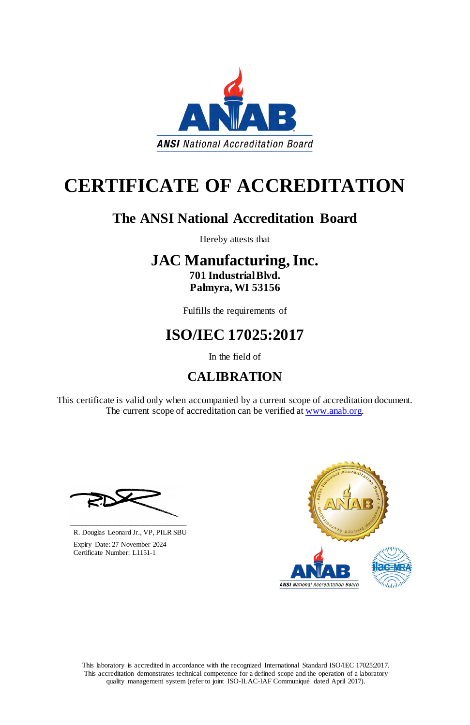This laboratory is accredited in accordance with the recognized International Standard ISO/IEC 17025:2017. This accreditation demonstrates technical competence for a defined scope and the operation of a laboratory quality management system (refer to joint ISO-ILAC-IAF Communiqué dated April 2017).

This certificate is valid only when accompanied by a current scope of accreditation document. The current scope of accreditation can be verified at [www.anab.org.](http://www.anab.org/)





# **CERTIFICATE OF ACCREDITATION**

### **The ANSI National Accreditation Board**

Hereby attests that

### **JAC Manufacturing, Inc. 701 Industrial Blvd. Palmyra, WI 53156**

Fulfills the requirements of

## **ISO/IEC 17025:2017**

In the field of

### **CALIBRATION**

**\_\_\_\_\_\_\_\_\_\_\_\_\_\_\_\_\_\_\_\_\_\_\_\_\_\_\_\_\_\_** R. Douglas Leonard Jr., VP, PILR SBU



 Expiry Date: 27 November 2024 Certificate Number: L1151-1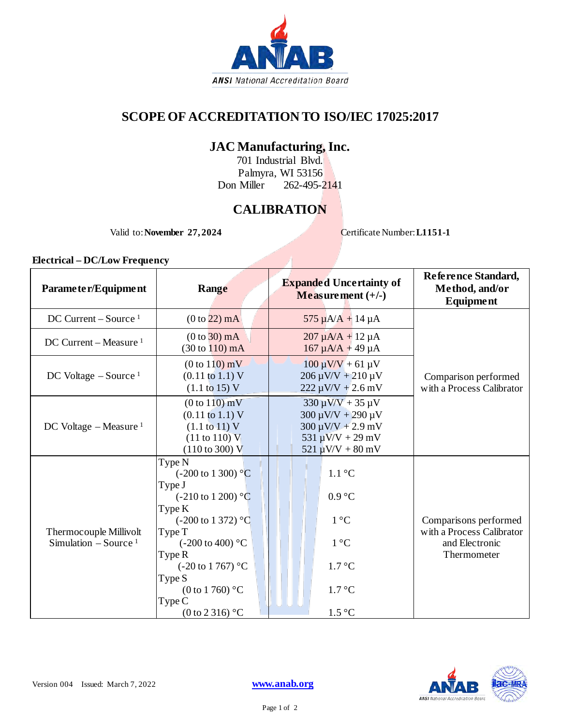

#### **SCOPE OF ACCREDITATION TO ISO/IEC 17025:2017**

#### **JAC Manufacturing, Inc.**

701 Industrial Blvd. Palmyra, WI 53156 Don Miller 262-495-2141

#### **CALIBRATION**

Valid to: **November 27, 2024** Certificate Number: **L1151-1** 

**Electrical – DC/Low Frequency**

| Range                                                                                                                                                                                                                                                         | <b>Expanded Uncertainty of</b><br>Measurement $(+/-)$                                                                                                                    | Reference Standard,<br>Method, and/or<br>Equipment                                  |
|---------------------------------------------------------------------------------------------------------------------------------------------------------------------------------------------------------------------------------------------------------------|--------------------------------------------------------------------------------------------------------------------------------------------------------------------------|-------------------------------------------------------------------------------------|
| $(0 to 22)$ mA                                                                                                                                                                                                                                                | $575 \mu A/A + 14 \mu A$                                                                                                                                                 | Comparison performed<br>with a Process Calibrator                                   |
| $(0 to 30)$ mA<br>$(30 \text{ to } 110) \text{ mA}$                                                                                                                                                                                                           | $207 \mu A/A + 12 \mu A$<br>$167 \mu A/A + 49 \mu A$                                                                                                                     |                                                                                     |
| $(0 to 110)$ mV<br>$(0.11 \text{ to } 1.1) \text{ V}$<br>$(1.1 \text{ to } 15) \text{ V}$                                                                                                                                                                     | $100 \mu V/V + 61 \mu V$<br>$206 \mu V/V + 210 \mu V$<br>$222 \mu V/V + 2.6 \ mV$                                                                                        |                                                                                     |
| (0 to 110) mV<br>$(0.11 \text{ to } 1.1) \text{ V}$<br>(1.1 to 11) V<br>$(11 \text{ to } 110) \text{ V}$<br>$(110 \text{ to } 300) \text{ V}$                                                                                                                 | $330 \,\mu\text{V/V} + 35 \,\mu\text{V}$<br>$300 \mu V/V + 290 \mu V$<br>$300 \mu V/V + 2.9 \mu V$<br>$531 \,\mu\text{V/V} + 29 \,\text{mV}$<br>$521 \mu V/V + 80 \, mV$ |                                                                                     |
| Type N<br>$(-200 \text{ to } 1300)$ °C<br>Type J<br>$(-210 \text{ to } 1200)$ °C<br>Type K<br>$(-200 \text{ to } 1372)$ °C<br>Type T<br>$(-200 \text{ to } 400)$ °C<br>Type R<br>$(-20 \text{ to } 1767)$ °C<br>Type S<br>$(0 \text{ to } 1760)$ °C<br>Type C | $1.1\text{ }^{\circ}C$<br>0.9 °C<br>$1^{\circ}C$<br>$1^{\circ}C$<br>$1.7 \degree C$<br>$1.7 \degree C$                                                                   | Comparisons performed<br>with a Process Calibrator<br>and Electronic<br>Thermometer |
|                                                                                                                                                                                                                                                               | $(0 \text{ to } 2 \text{ 316})$ °C                                                                                                                                       | $1.5\text{ °C}$                                                                     |